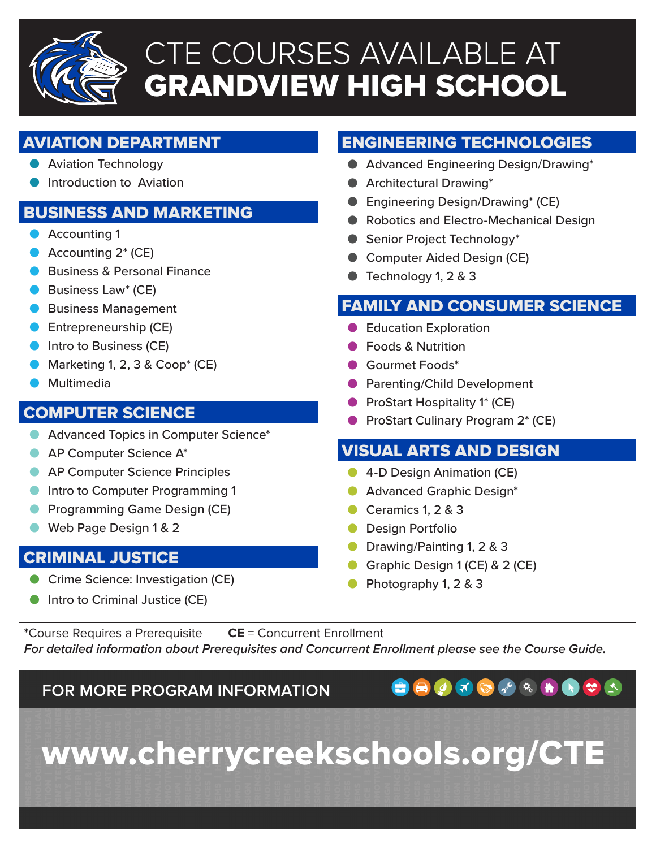

# CTE COURSES AVAILABLE AT GRANDVIEW HIGH SCHOOL

# AVIATION DEPARTMENT

- � Aviation Technology
- � Introduction to Aviation

# BUSINESS AND MARKETING

- Accounting 1
- Accounting 2<sup>\*</sup> (CE)
- **Business & Personal Finance**
- Business Law<sup>\*</sup> (CE)
- � Business Management
- Entrepreneurship (CE)
- **O** Intro to Business (CE)
- Marketing 1, 2, 3 & Coop<sup>\*</sup> (CE)
- **•** Multimedia

### COMPUTER SCIENCE

- $\bullet$  Advanced Topics in Computer Science\*
- AP Computer Science A<sup>\*</sup>
- **AP Computer Science Principles**
- $\bullet$  Intro to Computer Programming 1
- � Programming Game Design (CE)
- Web Page Design 1 & 2

#### CRIMINAL JUSTICE

� Crime Science: Investigation (CE)

#### $\bullet$  Intro to Criminal Justice (CE)

# ENGINEERING TECHNOLOGIES

- � Advanced Engineering Design/Drawing\*
- � Architectural Drawing\*
- Engineering Design/Drawing<sup>\*</sup> (CE)
- � Robotics and Electro-Mechanical Design
- Senior Project Technology\*
- Computer Aided Design (CE)
- � Technology 1, 2 & 3

# FAMILY AND CONSUMER SCIENCE

- Education Exploration
- � Foods & Nutrition
- � Gourmet Foods\*
- **Parenting/Child Development**
- ProStart Hospitality 1<sup>\*</sup> (CE)
- ProStart Culinary Program 2<sup>\*</sup> (CE)

#### VISUAL ARTS AND DESIGN

- **4-D Design Animation (CE)**
- � Advanced Graphic Design\*
- Ceramics 1, 2 & 3
- Design Portfolio
- � Drawing/Painting 1, 2 & 3
- � Graphic Design 1 (CE) & 2 (CE)
- � Photography 1, 2 & 3

**\***Course Requires a Prerequisite **CE** = Concurrent Enrollment *For detailed information about Prerequisites and Concurrent Enrollment please see the Course Guide.*

**FOR MORE PROGRAM INFORMATION**

www.cherrycreekschools.org/CTE

 $\mathbf{X}$  $\bullet$